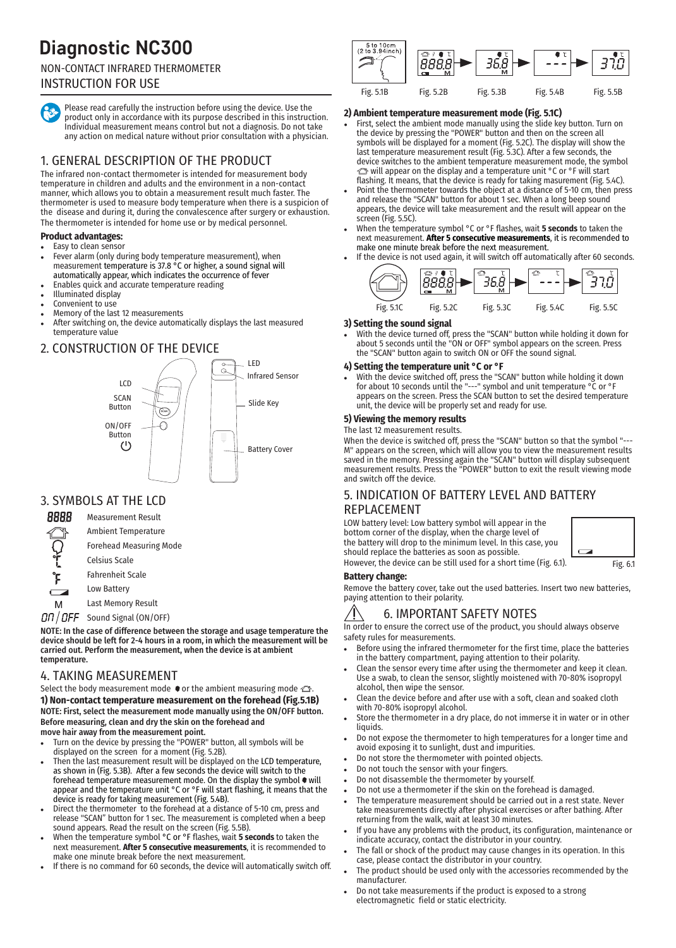# **Diagnostic NC300**

# NON-CONTACT INFRARED THERMOMETER

# INSTRUCTION FOR USE

Please read carefully the instruction before using the device. Use the product only in accordance with its purpose described in this instruction. Individual measurement means control but not a diagnosis. Do not take any action on medical nature without prior consultation with a physician.

# 1. GENERAL DESCRIPTION OF THE PRODUCT

The infrared non-contact thermometer is intended for measurement body temperature in children and adults and the environment in a non-contact manner, which allows you to obtain a measurement result much faster. The thermometer is used to measure body temperature when there is a suspicion of the disease and during it, during the convalescence after surgery or exhaustion. The thermometer is intended for home use or by medical personnel.

### **Product advantages:**

- Easy to clean sensor Fever alarm (only during body temperature measurement), when measurement temperature is 37.8 °C or higher, a sound signal will automatically appear, which indicates the occurrence of fever
- <sup>l</sup> Enables quick and accurate temperature reading
- <sup>l</sup> Illuminated display
- Convenient to use
- Memory of the last 12 measurements
- After switching on, the device automatically displays the last measured temperature value

### 2. CONSTRUCTION OF THE DEVICE



# 3. SYMBOLS AT THE LCD



 $DT/OFF$  Sound Signal (ON/OFF)

NOTE: In the case of difference between the storage and usage temperature the device should be left for 2-4 hours in a room, in which the measurement will be carried out. Perform the measurement, when the device is at ambient temperature.

### 4. TAKING MEASUREMENT

Select the body measurement mode  $\bullet$  or the ambient measuring mode  $\triangle$ **1) Non-contact temperature measurement on the forehead (Fig.5.1B)** NOTE: First, select the measurement mode manually using the ON/OFF button. Before measuring, clean and dry the skin on the forehead and move hair away from the measurement point.

- Turn on the device by pressing the "POWER" button, all symbols will be displayed on the screen for a moment (Fig. 5.2B).
- Then the last measurement result will be displayed on the LCD temperature, as shown in (Fig. 5.3B). After a few seconds the device will switch to the forehead temperature measurement mode. On the display the symbol  $\bullet$  will appear and the temperature unit °C or °F will start flashing, it means that the device is ready for taking measurement (Fig. 5.4B).
- Direct the thermometer to the forehead at a distance of 5-10 cm, press and release "SCAN" button for 1 sec. The measurement is completed when a beep sound appears. Read the result on the screen (Fig. 5.5B).
- <sup>l</sup> When the temperature symbol °C or °F flashes, wait **5 seconds** to taken the next measurement. **After 5 consecutive measurements**, it is recommended to make one minute break before the next measurement.
- If there is no command for 60 seconds, the device will automatically switch off.



### **2) Ambient temperature measurement mode (Fig. 5.1C)**

- First, select the ambient mode manually using the slide key button. Turn on the device by pressing the "POWER" button and then on the screen all symbols will be displayed for a moment (Fig. 5.2C). The display will show the last temperature measurement result (Fig. 5.3C). After a few seconds, the device switches to the ambient temperature measurement mode, the symbol will appear on the display and a temperature unit °C or °F will start flashing. It means, that the device is ready for taking masurement (Fig. 5.4C).
- Point the thermometer towards the object at a distance of 5-10 cm, then press and release the "SCAN" button for about 1 sec. When a long beep sound appears, the device will take measurement and the result will appear on the screen (Fig. 5.5C).
- <sup>l</sup> When the temperature symbol °C or °F flashes, wait **5 seconds** to taken the next measurement. **After 5 consecutive measurements**, it is recommended to make one minute break before the next measurement.
- If the device is not used again, it will switch off automatically after 60 seconds.



### **3) Setting the sound signal**

With the device turned off, press the "SCAN" button while holding it down for about 5 seconds until the "ON or OFF" symbol appears on the screen. Press the "SCAN" button again to switch ON or OFF the sound signal.

#### **4) Setting the temperature unit °C or °F**

With the device switched off, press the "SCAN" button while holding it down for about 10 seconds until the "---" symbol and unit temperature °C or °F appears on the screen. Press the SCAN button to set the desired temperature unit, the device will be properly set and ready for use.

### **5) Viewing the memory results**

### The last 12 measurement results.

When the device is switched off, press the "SCAN" button so that the symbol "--M" appears on the screen, which will allow you to view the measurement results saved in the memory. Pressing again the "SCAN" button will display subsequent measurement results. Press the "POWER" button to exit the result viewing mode and switch off the device.

### 5. INDICATION OF BATTERY LEVEL AND BATTERY REPLACEMENT

LOW battery level: Low battery symbol will appear in the bottom corner of the display, when the charge level of the battery will drop to the minimum level. In this case, you should replace the batteries as soon as possible. However, the device can be still used for a short time (Fig. 6.1).

### **Battery change:**

Remove the battery cover, take out the used batteries. Insert two new batteries, paying attention to their polarity.

Fig. 6.1

# 6. IMPORTANT SAFETY NOTES

In order to ensure the correct use of the product, you should always observe safety rules for measurements.

- <sup>l</sup> Before using the infrared thermometer for the first time, place the batteries in the battery compartment, paying attention to their polarity.
- Clean the sensor every time after using the thermometer and keep it clean. Use a swab, to clean the sensor, slightly moistened with 70-80% isopropyl alcohol, then wipe the sensor.
- <sup>l</sup> Clean the device before and after use with a soft, clean and soaked cloth with 70-80% isopropyl alcohol.
- Store the thermometer in a dry place, do not immerse it in water or in other liquids.
- Do not expose the thermometer to high temperatures for a longer time and avoid exposing it to sunlight, dust and impurities.
- Do not store the thermometer with pointed objects.
- Do not touch the sensor with your fingers.
- Do not disassemble the thermometer by yourself.
- Do not use a thermometer if the skin on the forehead is damaged.
- The temperature measurement should be carried out in a rest state. Never take measurements directly after physical exercises or after bathing. After returning from the walk, wait at least 30 minutes.
- If you have any problems with the product, its configuration, maintenance or indicate accuracy, contact the distributor in your country.
- The fall or shock of the product may cause changes in its operation. In this case, please contact the distributor in your country.
- The product should be used only with the accessories recommended by the manufacturer.
- Do not take measurements if the product is exposed to a strong electromagnetic field or static electricity.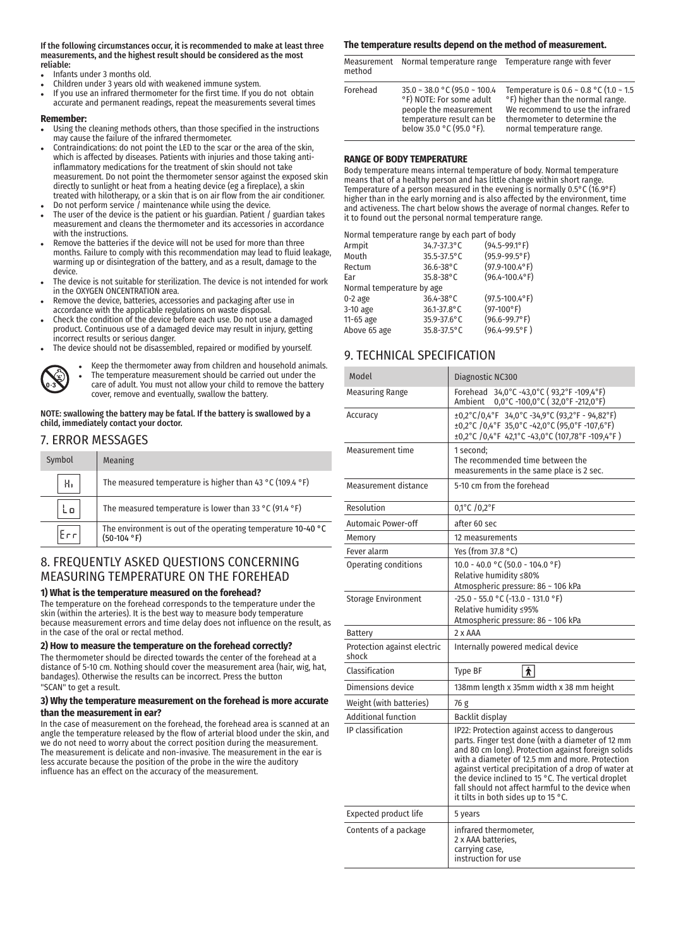#### If the following circumstances occur, it is recommended to make at least three measurements, and the highest result should be considered as the most reliable:

- <sup>l</sup> Infants under 3 months old.
- Children under 3 years old with weakened immune system.
- If you use an infrared thermometer for the first time. If you do not obtain accurate and permanent readings, repeat the measurements several times

#### **Remember:**

- <sup>l</sup> Using the cleaning methods others, than those specified in the instructions may cause the failure of the infrared thermometer.
- Contraindications: do not point the LED to the scar or the area of the skin, which is affected by diseases. Patients with injuries and those taking antiinflammatory medications for the treatment of skin should not take measurement. Do not point the thermometer sensor against the exposed skin directly to sunlight or heat from a heating device (eg a fireplace), a skin treated with hilotherapy, or a skin that is on air flow from the air conditioner.
- Do not perform service  $\hat{I}$  maintenance while using the device.
- The user of the device is the patient or his guardian. Patient / guardian takes measurement and cleans the thermometer and its accessories in accordance with the instructions.
- Remove the batteries if the device will not be used for more than three months. Failure to comply with this recommendation may lead to fluid leakage, warming up or disintegration of the battery, and as a result, damage to the device.
- The device is not suitable for sterilization. The device is not intended for work in the OXYGEN ONCENTRATION area.
- Remove the device, batteries, accessories and packaging after use in accordance with the applicable regulations on waste disposal.
- <sup>l</sup> Check the condition of the device before each use. Do not use a damaged product. Continuous use of a damaged device may result in injury, getting incorrect results or serious danger.
- The device should not be disassembled, repaired or modified by yourself.



Keep the thermometer away from children and household animals. The temperature measurement should be carried out under the care of adult. You must not allow your child to remove the battery cover, remove and eventually, swallow the battery.

NOTE: swallowing the battery may be fatal. If the battery is swallowed by a child, immediately contact your doctor.

### 7. ERROR MESSAGES

| Symbol | Meaning                                                                       |
|--------|-------------------------------------------------------------------------------|
| н.     | The measured temperature is higher than 43 °C (109.4 °F)                      |
| n      | The measured temperature is lower than 33 °C (91.4 °F)                        |
|        | The environment is out of the operating temperature 10-40 °C<br>$(50-104 °F)$ |

## 8. FREQUENTLY ASKED QUESTIONS CONCERNING MEASURING TEMPERATURE ON THE FOREHEAD

#### **1) What is the temperature measured on the forehead?**

The temperature on the forehead corresponds to the temperature under the skin (within the arteries). It is the best way to measure body temperature because measurement errors and time delay does not influence on the result, as in the case of the oral or rectal method.

### **2) How to measure the temperature on the forehead correctly?**

The thermometer should be directed towards the center of the forehead at a distance of 5-10 cm. Nothing should cover the measurement area (hair, wig, hat, bandages). Otherwise the results can be incorrect. Press the button "SCAN" to get a result.

#### **3) Why the temperature measurement on the forehead is more accurate than the measurement in ear?**

In the case of measurement on the forehead, the forehead area is scanned at an angle the temperature released by the flow of arterial blood under the skin, and we do not need to worry about the correct position during the measurement. The measurement is delicate and non-invasive. The measurement in the ear is less accurate because the position of the probe in the wire the auditory influence has an effect on the accuracy of the measurement.

### **The temperature results depend on the method of measurement.**

Measurement Normal temperature range Temperature range with fever method

| Forehead | $35.0 \sim 38.0$ °C (95.0 ~ 100.4<br>°F) NOTE: For some adult<br>people the measurement<br>temperature result can be<br>below 35.0 °C (95.0 °F). | Temperature is $0.6 \sim 0.8$ °C (1.0 ~ 1.5<br>°F) higher than the normal range.<br>We recommend to use the infrared<br>thermometer to determine the<br>normal temperature range. |
|----------|--------------------------------------------------------------------------------------------------------------------------------------------------|-----------------------------------------------------------------------------------------------------------------------------------------------------------------------------------|
|          |                                                                                                                                                  |                                                                                                                                                                                   |

### **RANGE OF BODY TEMPERATURE**

Body temperature means internal temperature of body. Normal temperature means that of a healthy person and has little change within short range. Temperature of a person measured in the evening is normally 0.5°C (16.9°F) higher than in the early morning and is also affected by the environment, time and activeness. The chart below shows the average of normal changes. Refer to it to found out the personal normal temperature range.

|                           | Normal temperature range by each part of body |                      |
|---------------------------|-----------------------------------------------|----------------------|
| Armpit                    | 34.7-37.3°C                                   | $(94.5 - 99.1$ °F)   |
| Mouth                     | 35.5-37.5°C                                   | $(95.9 - 99.5$ °F)   |
| Rectum                    | 36.6-38°C                                     | $(97.9 - 100.4$ °F)  |
| Ear                       | 35.8-38°C                                     | $(96.4 - 100.4$ °F)  |
| Normal temperature by age |                                               |                      |
| $0-2$ age                 | 36.4-38°C                                     | $(97.5 - 100.4$ °F)  |
| 3-10 age                  | 36.1-37.8°C                                   | $(97-100^{\circ} F)$ |
| 11-65 age                 | 35.9-37.6°C                                   | $(96.6 - 99.7$ °F)   |
| Above 65 age              | 35.8-37.5°C                                   | $(96.4 - 99.5$ °F)   |
|                           |                                               |                      |

# 9. TECHNICAL SPECIFICATION

| Model                                | Diagnostic NC300                                                                                                                                                                                                                                                                                                                                                                                                     |
|--------------------------------------|----------------------------------------------------------------------------------------------------------------------------------------------------------------------------------------------------------------------------------------------------------------------------------------------------------------------------------------------------------------------------------------------------------------------|
| Measuring Range                      | Forehead 34,0°C -43,0°C (93,2°F -109,4°F)<br>0,0°C -100,0°C (32,0°F -212,0°F)<br>Ambient                                                                                                                                                                                                                                                                                                                             |
| Accuracy                             | $\pm 0.2^{\circ}$ C/0,4°F 34,0°C -34,9°C (93,2°F - 94,82°F)<br>±0,2°C /0,4°F 35,0°C -42,0°C (95,0°F -107,6°F)<br>±0,2°C /0,4°F 42,1°C -43,0°C (107,78°F -109,4°F)                                                                                                                                                                                                                                                    |
| <b>Measurement time</b>              | 1 second;<br>The recommended time between the<br>measurements in the same place is 2 sec.                                                                                                                                                                                                                                                                                                                            |
| Measurement distance                 | 5-10 cm from the forehead                                                                                                                                                                                                                                                                                                                                                                                            |
| Resolution                           | 0,1°C / 0,2°F                                                                                                                                                                                                                                                                                                                                                                                                        |
| <b>Automaic Power-off</b>            | after 60 sec                                                                                                                                                                                                                                                                                                                                                                                                         |
| Memory                               | 12 measurements                                                                                                                                                                                                                                                                                                                                                                                                      |
| Fever alarm                          | Yes (from 37.8 $^{\circ}$ C)                                                                                                                                                                                                                                                                                                                                                                                         |
| <b>Operating conditions</b>          | $10.0 - 40.0 °C (50.0 - 104.0 °F)$<br>Relative humidity ≤80%<br>Atmospheric pressure: 86 ~ 106 kPa                                                                                                                                                                                                                                                                                                                   |
| <b>Storage Environment</b>           | $-25.0 - 55.0$ °C (-13.0 - 131.0 °F)<br>Relative humidity ≤95%<br>Atmospheric pressure: 86 ~ 106 kPa                                                                                                                                                                                                                                                                                                                 |
| <b>Battery</b>                       | 2 x AAA                                                                                                                                                                                                                                                                                                                                                                                                              |
| Protection against electric<br>shock | Internally powered medical device                                                                                                                                                                                                                                                                                                                                                                                    |
| Classification                       | $\overline{\hat{\pi}}$<br><b>Type BF</b>                                                                                                                                                                                                                                                                                                                                                                             |
| Dimensions device                    | 138mm length x 35mm width x 38 mm height                                                                                                                                                                                                                                                                                                                                                                             |
| Weight (with batteries)              | 76 g                                                                                                                                                                                                                                                                                                                                                                                                                 |
| <b>Additional function</b>           | Backlit display                                                                                                                                                                                                                                                                                                                                                                                                      |
| IP classification                    | IP22: Protection against access to dangerous<br>parts. Finger test done (with a diameter of 12 mm<br>and 80 cm long). Protection against foreign solids<br>with a diameter of 12.5 mm and more. Protection<br>against vertical precipitation of a drop of water at<br>the device inclined to 15 °C. The vertical droplet<br>fall should not affect harmful to the device when<br>it tilts in both sides up to 15 °C. |
| Expected product life                | 5 years                                                                                                                                                                                                                                                                                                                                                                                                              |
| Contents of a package                | infrared thermometer.<br>2 x AAA batteries.<br>carrying case,<br>instruction for use                                                                                                                                                                                                                                                                                                                                 |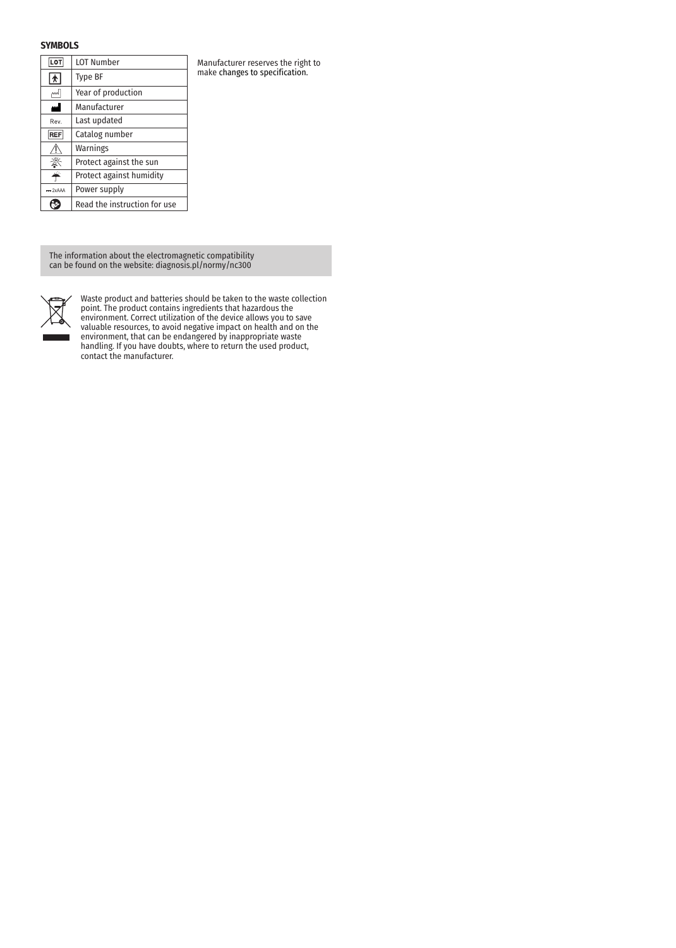### **SYMBOLS**

| <b>LOT</b> | <b>LOT Number</b>            |
|------------|------------------------------|
| ★          | Type BF                      |
| اسم        | Year of production           |
| اس         | Manufacturer                 |
| Rev.       | Last updated                 |
| <b>REF</b> | Catalog number               |
|            | Warnings                     |
|            | Protect against the sun      |
|            | Protect against humidity     |
| $= 2xAAA$  | Power supply                 |
|            | Read the instruction for use |

Manufacturer reserves the right to make changes to specification.

The information about the electromagnetic compatibility can be found on the website: diagnosis.pl/normy/nc300



Waste product and batteries should be taken to the waste collection point. The product contains ingredients that hazardous the environment. Correct utilization of the device allows you to save valuable resources, to avoid negative impact on health and on the environment, that can be endangered by inappropriate waste handling. If you have doubts, where to return the used product, contact the manufacturer.